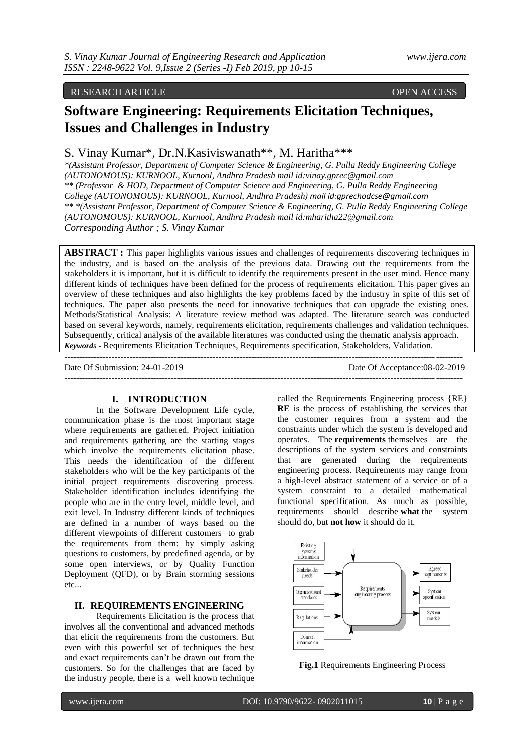## RESEARCH ARTICLE **CONSERVERS**

# **Software Engineering: Requirements Elicitation Techniques, Issues and Challenges in Industry**

## S. Vinay Kumar\*, Dr.N.Kasiviswanath\*\*, M. Haritha\*\*\*

*\*(Assistant Professor, Department of Computer Science & Engineering, G. Pulla Reddy Engineering College (AUTONOMOUS): KURNOOL, Kurnool, Andhra Pradesh mail id:vinay.gprec@gmail.com \*\* (Professor & HOD, Department of Computer Science and Engineering, G. Pulla Reddy Engineering College (AUTONOMOUS): KURNOOL, Kurnool, Andhra Pradesh) mail id:gprechodcse@gmail.com \*\* \*(Assistant Professor, Department of Computer Science & Engineering, G. Pulla Reddy Engineering College (AUTONOMOUS): KURNOOL, Kurnool, Andhra Pradesh mail id:mharitha22@gmail.com Corresponding Author ; S. Vinay Kumar*

**ABSTRACT :** This paper highlights various issues and challenges of requirements discovering techniques in the industry, and is based on the analysis of the previous data. Drawing out the requirements from the stakeholders it is important, but it is difficult to identify the requirements present in the user mind. Hence many different kinds of techniques have been defined for the process of requirements elicitation. This paper gives an overview of these techniques and also highlights the key problems faced by the industry in spite of this set of techniques. The paper also presents the need for innovative techniques that can upgrade the existing ones. Methods/Statistical Analysis: A literature review method was adapted. The literature search was conducted based on several keywords, namely, requirements elicitation, requirements challenges and validation techniques. Subsequently, critical analysis of the available literatures was conducted using the thematic analysis approach. *Keywords* - Requirements Elicitation Techniques, Requirements specification, Stakeholders, Validation.

--------------------------------------------------------------------------------------------------------------------------------------

Date Of Submission: 24-01-2019 Date Of Acceptance:08-02-2019 --------------------------------------------------------------------------------------------------------------------------------------

#### **I. INTRODUCTION**

In the Software Development Life cycle, communication phase is the most important stage where requirements are gathered. Project initiation and requirements gathering are the starting stages which involve the requirements elicitation phase. This needs the identification of the different stakeholders who will be the key participants of the initial project requirements discovering process. Stakeholder identification includes identifying the people who are in the entry level, middle level, and exit level. In Industry different kinds of techniques are defined in a number of ways based on the different viewpoints of different customers to grab the requirements from them: by simply asking questions to customers, by predefined agenda, or by some open interviews, or by Quality Function Deployment (QFD), or by Brain storming sessions etc...

#### **II. REQUIREMENTS ENGINEERING**

Requirements Elicitation is the process that involves all the conventional and advanced methods that elicit the requirements from the customers. But even with this powerful set of techniques the best and exact requirements can"t be drawn out from the customers. So for the challenges that are faced by the industry people, there is a well known technique

called the Requirements Engineering process {RE} **RE** is the process of establishing the services that the customer requires from a system and the constraints under which the system is developed and operates. The **requirements** themselves are the descriptions of the system services and constraints that are generated during the requirements engineering process. Requirements may range from a high-level abstract statement of a service or of a system constraint to a detailed mathematical functional specification. As much as possible, requirements should describe **what** the system should do, but **not how** it should do it.



**Fig.1** Requirements Engineering Process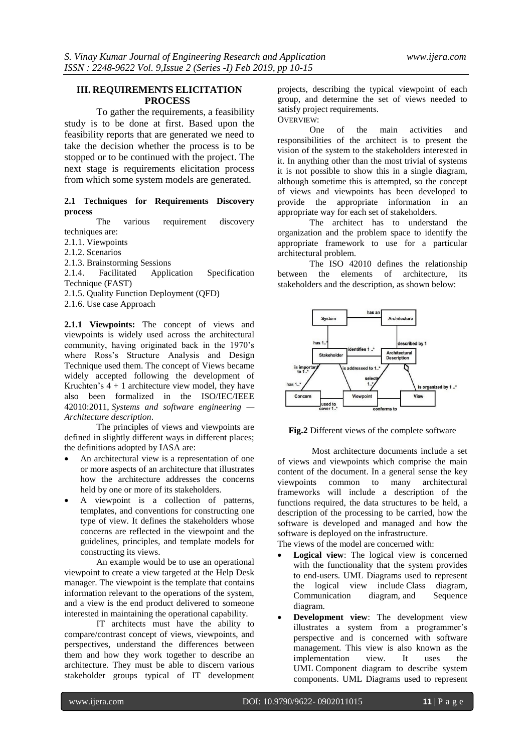#### **III. REQUIREMENTS ELICITATION PROCESS**

To gather the requirements, a feasibility study is to be done at first. Based upon the feasibility reports that are generated we need to take the decision whether the process is to be stopped or to be continued with the project. The next stage is requirements elicitation process from which some system models are generated.

#### **2.1 Techniques for Requirements Discovery process**

The various requirement discovery techniques are:

2.1.1. Viewpoints

2.1.2. Scenarios

2.1.3. Brainstorming Sessions

2.1.4. Facilitated Application Specification Technique (FAST)

2.1.5. Quality Function Deployment (QFD)

2.1.6. Use case Approach

**2.1.1 Viewpoints:** The concept of views and viewpoints is widely used across the architectural community, having originated back in the 1970"s where Ross's Structure Analysis and Design Technique used them. The concept of Views became widely accepted following the development of Kruchten's  $4 + 1$  architecture view model, they have also been formalized in the ISO/IEC/IEEE 42010:2011, *Systems and software engineering — Architecture description*.

The principles of views and viewpoints are defined in slightly different ways in different places; the definitions adopted by IASA are:

- An architectural view is a representation of one or more aspects of an architecture that illustrates how the architecture addresses the concerns held by one or more of its stakeholders.
- A viewpoint is a collection of patterns, templates, and conventions for constructing one type of view. It defines the stakeholders whose concerns are reflected in the viewpoint and the guidelines, principles, and template models for constructing its views.

An example would be to use an operational viewpoint to create a view targeted at the Help Desk manager. The viewpoint is the template that contains information relevant to the operations of the system, and a view is the end product delivered to someone interested in maintaining the operational capability.

IT architects must have the ability to compare/contrast concept of views, viewpoints, and perspectives, understand the differences between them and how they work together to describe an architecture. They must be able to discern various stakeholder groups typical of IT development

projects, describing the typical viewpoint of each group, and determine the set of views needed to satisfy project requirements.

OVERVIEW:

One of the main activities and responsibilities of the architect is to present the vision of the system to the stakeholders interested in it. In anything other than the most trivial of systems it is not possible to show this in a single diagram, although sometime this is attempted, so the concept of views and viewpoints has been developed to provide the appropriate information in an appropriate way for each set of stakeholders.

The architect has to understand the organization and the problem space to identify the appropriate framework to use for a particular architectural problem.

The ISO 42010 defines the relationship<br>the elements of architecture. its between the elements of architecture, its stakeholders and the description, as shown below:



**Fig.2** Different views of the complete software

Most architecture documents include a set of views and viewpoints which comprise the main content of the document. In a general sense the key viewpoints common to many architectural frameworks will include a description of the functions required, the data structures to be held, a description of the processing to be carried, how the software is developed and managed and how the software is deployed on the infrastructure. The views of the model are concerned with:

- **Logical view**: The logical view is concerned with the functionality that the system provides to end-users. UML Diagrams used to represent the logical view include Class diagram, Communication diagram, and Sequence diagram.
- **Development view**: The development view illustrates a system from a programmer's perspective and is concerned with software management. This view is also known as the implementation view. It uses the UML Component diagram to describe system components. UML Diagrams used to represent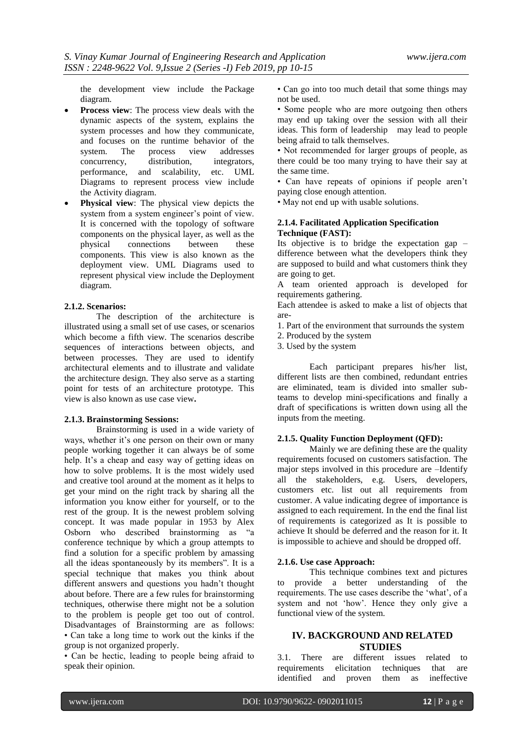the development view include the Package diagram.

- **Process view**: The process view deals with the dynamic aspects of the system, explains the system processes and how they communicate, and focuses on the runtime behavior of the system. The process view addresses process view addresses<br>distribution, integrators, concurrency, performance, and scalability, etc. UML Diagrams to represent process view include the Activity diagram.
- **Physical view**: The physical view depicts the system from a system engineer's point of view. It is concerned with the topology of software components on the physical layer, as well as the physical connections between these connections components. This view is also known as the deployment view. UML Diagrams used to represent physical view include the Deployment diagram.

#### **2.1.2. Scenarios:**

The description of the architecture is illustrated using a small set of [use cases,](http://en.wikipedia.org/wiki/Use_case) or scenarios which become a fifth view. The scenarios describe sequences of interactions between objects, and between processes. They are used to identify architectural elements and to illustrate and validate the architecture design. They also serve as a starting point for tests of an architecture prototype. This view is also known as use case view**.**

#### **2.1.3. Brainstorming Sessions:**

Brainstorming is used in a wide variety of ways, whether it's one person on their own or many people working together it can always be of some help. It's a cheap and easy way of getting ideas on how to solve problems. It is the most widely used and creative tool around at the moment as it helps to get your mind on the right track by sharing all the information you know either for yourself, or to the rest of the group. It is the newest problem solving concept. It was made popular in 1953 by Alex Osborn who described brainstorming as "a conference technique by which a group attempts to find a solution for a specific problem by amassing all the ideas spontaneously by its members". It is a special technique that makes you think about different answers and questions you hadn"t thought about before. There are a few rules for brainstorming techniques, otherwise there might not be a solution to the problem is people get too out of control. Disadvantages of Brainstorming are as follows: • Can take a long time to work out the kinks if the group is not organized properly.

• Can be hectic, leading to people being afraid to speak their opinion.

• Can go into too much detail that some things may not be used.

• Some people who are more outgoing then others may end up taking over the session with all their ideas. This form of leadership may lead to people being afraid to talk themselves.

• Not recommended for larger groups of people, as there could be too many trying to have their say at the same time.

• Can have repeats of opinions if people aren"t paying close enough attention.

• May not end up with usable solutions.

#### **2.1.4. Facilitated Application Specification Technique (FAST):**

Its objective is to bridge the expectation gap – difference between what the developers think they are supposed to build and what customers think they are going to get.

A team oriented approach is developed for requirements gathering.

Each attendee is asked to make a list of objects that are-

- 1. Part of the environment that surrounds the system
- 2. Produced by the system
- 3. Used by the system

Each participant prepares his/her list, different lists are then combined, redundant entries are eliminated, team is divided into smaller subteams to develop mini-specifications and finally a draft of specifications is written down using all the inputs from the meeting.

#### **2.1.5. Quality Function Deployment (QFD):**

Mainly we are defining these are the quality requirements focused on customers satisfaction. The major steps involved in this procedure are –Identify all the stakeholders, e.g. Users, developers, customers etc. list out all requirements from customer. A value indicating degree of importance is assigned to each requirement. In the end the final list of requirements is categorized as It is possible to achieve It should be deferred and the reason for it. It is impossible to achieve and should be dropped off.

#### **2.1.6. Use case Approach:**

This technique combines text and pictures provide a better understanding of the requirements. The use cases describe the "what", of a system and not "how". Hence they only give a functional view of the system.

### **IV. BACKGROUND AND RELATED STUDIES**

3.1. There are different issues related to requirements elicitation techniques that are identified and proven them as ineffective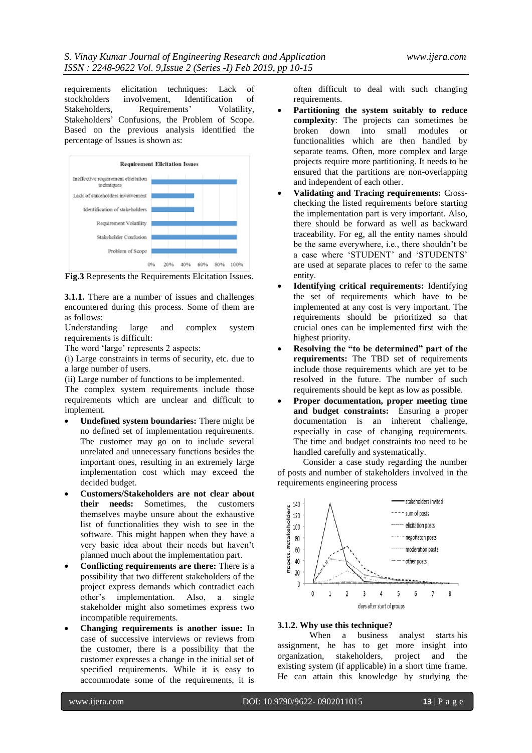requirements elicitation techniques: Lack of<br>stockholders involvement, Identification of involvement, Identification Stakeholders, Requirements' Volatility, Stakeholders" Confusions, the Problem of Scope. Based on the previous analysis identified the percentage of Issues is shown as:



**Fig.3** Represents the Requirements Elcitation Issues.

**3.1.1.** There are a number of issues and challenges encountered during this process. Some of them are as follows:

Understanding large and complex system requirements is difficult:

The word 'large' represents 2 aspects:

(i) Large constraints in terms of security, etc. due to a large number of users.

(ii) Large number of functions to be implemented.

The complex system requirements include those requirements which are unclear and difficult to implement.

- **Undefined system boundaries:** There might be no defined set of implementation requirements. The customer may go on to include several unrelated and unnecessary functions besides the important ones, resulting in an extremely large implementation cost which may exceed the decided budget.
- **Customers/Stakeholders are not clear about their needs:** Sometimes, the customers themselves maybe unsure about the exhaustive list of functionalities they wish to see in the software. This might happen when they have a very basic idea about their needs but haven"t planned much about the implementation part.
- **Conflicting requirements are there:** There is a possibility that two different stakeholders of the project express demands which contradict each other"s implementation. Also, a single stakeholder might also sometimes express two incompatible requirements.
- **Changing requirements is another issue:** In case of successive interviews or reviews from the customer, there is a possibility that the customer expresses a change in the initial set of specified requirements. While it is easy to accommodate some of the requirements, it is

often difficult to deal with such changing requirements.

- **Partitioning the system suitably to reduce complexity**: The projects can sometimes be broken down into small modules or functionalities which are then handled by separate teams. Often, more complex and large projects require more partitioning. It needs to be ensured that the partitions are non-overlapping and independent of each other.
- **Validating and Tracing requirements:** Crosschecking the listed requirements before starting the implementation part is very important. Also, there should be forward as well as backward traceability. For eg, all the entity names should be the same everywhere, i.e., there shouldn"t be a case where "STUDENT" and "STUDENTS" are used at separate places to refer to the same entity.
- **Identifying critical requirements:** Identifying the set of requirements which have to be implemented at any cost is very important. The requirements should be prioritized so that crucial ones can be implemented first with the highest priority.
- **Resolving the "to be determined" part of the requirements:** The TBD set of requirements include those requirements which are yet to be resolved in the future. The number of such requirements should be kept as low as possible.
- **Proper documentation, proper meeting time and budget constraints:** Ensuring a proper documentation is an inherent challenge, especially in case of changing requirements. The time and budget constraints too need to be handled carefully and systematically.

Consider a case study regarding the number of posts and number of stakeholders involved in the requirements engineering process



## **3.1.2. Why use this technique?**

 When a business analyst starts his assignment, he has to get more insight into organization, stakeholders, project and the existing system (if applicable) in a short time frame. He can attain this knowledge by studying the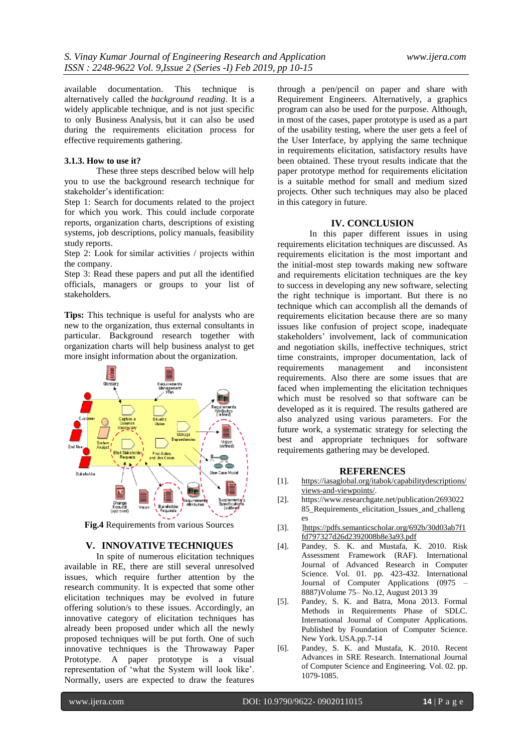available documentation. This technique is alternatively called the *background reading*. It is a widely applicable technique, and is not just specific to only Business Analysis, but it can also be used during the requirements elicitation process for effective requirements gathering.

#### **3.1.3. How to use it?**

These three steps described below will help you to use the background research technique for stakeholder"s identification:

Step 1: Search for documents related to the project for which you work. This could include corporate reports, organization charts, descriptions of existing systems, job descriptions, policy manuals, feasibility study reports.

Step 2: Look for similar activities / projects within the company.

Step 3: Read these papers and put all the identified officials, managers or groups to your list of stakeholders.

**Tips:** This technique is useful for analysts who are new to the organization, thus external consultants in particular. Background research together with organization charts will help business analyst to get more insight information about the organization.



**Fig.4** Requirements from various Sources

#### **V. INNOVATIVE TECHNIQUES**

In spite of numerous elicitation techniques available in RE, there are still several unresolved issues, which require further attention by the research community. It is expected that some other elicitation techniques may be evolved in future offering solution/s to these issues. Accordingly, an innovative category of elicitation techniques has already been proposed under which all the newly proposed techniques will be put forth. One of such innovative techniques is the Throwaway Paper Prototype. A paper prototype is a visual representation of "what the System will look like". Normally, users are expected to draw the features

through a pen/pencil on paper and share with Requirement Engineers. Alternatively, a graphics program can also be used for the purpose. Although, in most of the cases, paper prototype is used as a part of the usability testing, where the user gets a feel of the User Interface, by applying the same technique in requirements elicitation, satisfactory results have been obtained. These tryout results indicate that the paper prototype method for requirements elicitation is a suitable method for small and medium sized projects. Other such techniques may also be placed in this category in future.

#### **IV. CONCLUSION**

In this paper different issues in using requirements elicitation techniques are discussed. As requirements elicitation is the most important and the initial-most step towards making new software and requirements elicitation techniques are the key to success in developing any new software, selecting the right technique is important. But there is no technique which can accomplish all the demands of requirements elicitation because there are so many issues like confusion of project scope, inadequate stakeholders" involvement, lack of communication and negotiation skills, ineffective techniques, strict time constraints, improper documentation, lack of requirements management and inconsistent requirements. Also there are some issues that are faced when implementing the elicitation techniques which must be resolved so that software can be developed as it is required. The results gathered are also analyzed using various parameters. For the future work, a systematic strategy for selecting the best and appropriate techniques for software requirements gathering may be developed.

#### **REFERENCES**

- [1]. [https://iasaglobal.org/itabok/capabilitydescriptions/](https://iasaglobal.org/itabok/capabilitydescriptions/views-and-viewpoints/) [views-and-viewpoints/.](https://iasaglobal.org/itabok/capabilitydescriptions/views-and-viewpoints/)
- [2]. https://www.researchgate.net/publication/2693022 85\_Requirements\_elicitation\_Issues\_and\_challeng es
- [3]. [\]https://pdfs.semanticscholar.org/692b/30d03ab7f1](https://pdfs.semanticscholar.org/692b/30d03ab7f1fd797327d26d2392008b8e3a93.pdf) [fd797327d26d2392008b8e3a93.pdf](https://pdfs.semanticscholar.org/692b/30d03ab7f1fd797327d26d2392008b8e3a93.pdf)
- [4]. Pandey, S. K. and Mustafa, K. 2010. Risk Assessment Framework (RAF). International Journal of Advanced Research in Computer Science. Vol. 01. pp. 423-432. International Journal of Computer Applications (0975 – 8887)Volume 75– No.12, August 2013 39
- [5]. Pandey, S. K. and Batra, Mona 2013. Formal Methods in Requirements Phase of SDLC. International Journal of Computer Applications. Published by Foundation of Computer Science. New York. USA.pp.7-14
- [6]. Pandey, S. K. and Mustafa, K. 2010. Recent Advances in SRE Research. International Journal of Computer Science and Engineering. Vol. 02. pp. 1079-1085.